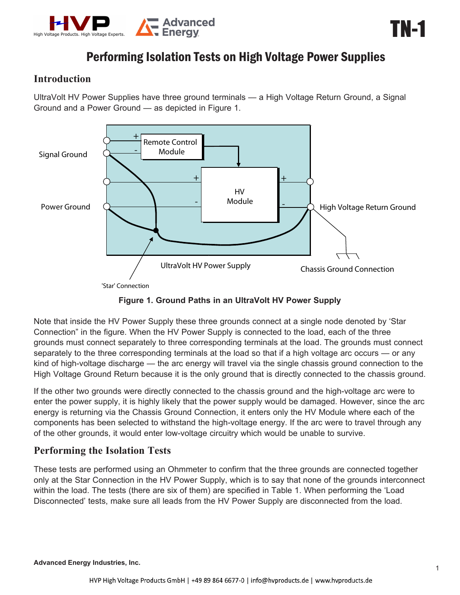

## **Introduction**

UltraVolt HV Power Supplies have three ground terminals — a High Voltage Return Ground, a Signal Ground and a Power Ground — as depicted in Figure 1.



**Figure 1. Ground Paths in an UltraVolt HV Power Supply**

Note that inside the HV Power Supply these three grounds connect at a single node denoted by 'Star Connection" in the figure. When the HV Power Supply is connected to the load, each of the three grounds must connect separately to three corresponding terminals at the load. The grounds must connect separately to the three corresponding terminals at the load so that if a high voltage arc occurs — or any kind of high-voltage discharge — the arc energy will travel via the single chassis ground connection to the High Voltage Ground Return because it is the only ground that is directly connected to the chassis ground.

If the other two grounds were directly connected to the chassis ground and the high-voltage arc were to enter the power supply, it is highly likely that the power supply would be damaged. However, since the arc energy is returning via the Chassis Ground Connection, it enters only the HV Module where each of the components has been selected to withstand the high-voltage energy. If the arc were to travel through any of the other grounds, it would enter low-voltage circuitry which would be unable to survive.

## **Performing the Isolation Tests**

These tests are performed using an Ohmmeter to confirm that the three grounds are connected together only at the Star Connection in the HV Power Supply, which is to say that none of the grounds interconnect within the load. The tests (there are six of them) are specified in Table 1. When performing the 'Load Disconnected' tests, make sure all leads from the HV Power Supply are disconnected from the load.

TN-1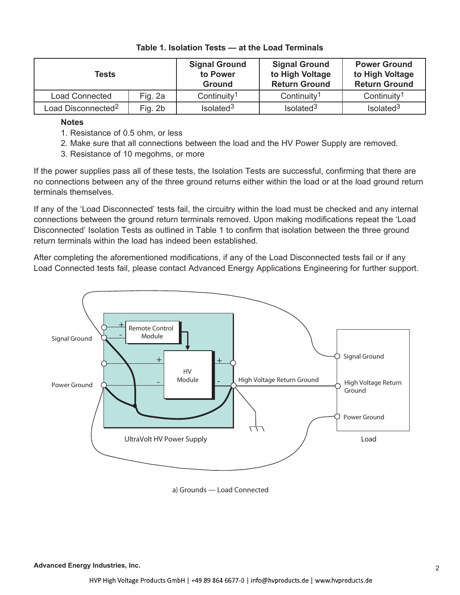| Tests                          |         | <b>Signal Ground</b><br>to Power<br><b>Ground</b> | <b>Signal Ground</b><br>to High Voltage<br><b>Return Ground</b> | <b>Power Ground</b><br>to High Voltage<br><b>Return Ground</b> |
|--------------------------------|---------|---------------------------------------------------|-----------------------------------------------------------------|----------------------------------------------------------------|
| <b>Load Connected</b>          | Fig. 2a | Continuity <sup>1</sup>                           | Continuity <sup>1</sup>                                         | Continuity <sup>1</sup>                                        |
| Load Disconnected <sup>2</sup> | Fig. 2b | Isolated <sup>3</sup>                             | Isolated <sup>3</sup>                                           | Isolated <sup>3</sup>                                          |

## **Table 1. Isolation Tests — at the Load Terminals**

**Notes**

- 1. Resistance of 0.5 ohm, or less
- 2. Make sure that all connections between the load and the HV Power Supply are removed.
- 3. Resistance of 10 megohms, or more

If the power supplies pass all of these tests, the Isolation Tests are successful, confirming that there are no connections between any of the three ground returns either within the load or at the load ground return terminals themselves.

If any of the 'Load Disconnected' tests fail, the circuitry within the load must be checked and any internal connections between the ground return terminals removed. Upon making modifications repeat the 'Load Disconnected' Isolation Tests as outlined in Table 1 to confirm that isolation between the three ground return terminals within the load has indeed been established.

After completing the aforementioned modifications, if any of the Load Disconnected tests fail or if any Load Connected tests fail, please contact Advanced Energy Applications Engineering for further support.



**a) Grounds — Load Connected**